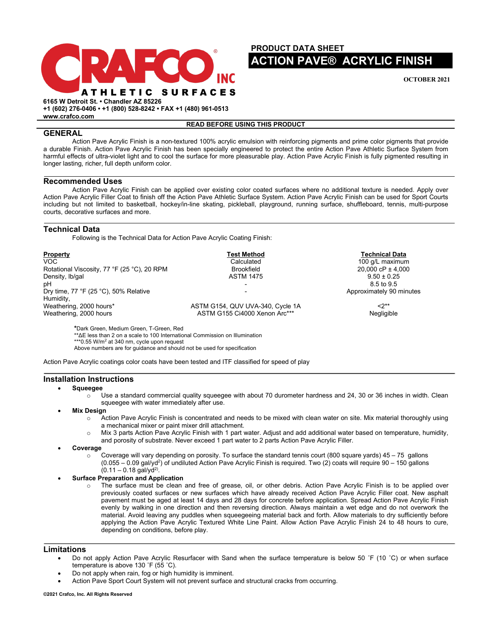

# **PRODUCT DATA SHEET ACTION PAVE® ACRYLIC FINISH**

**OCTOBER 2021**

**6165 W Detroit St. • Chandler AZ 85226 +1 (602) 276-0406 • +1 (800) 528-8242 • FAX +1 (480) 961-0513**

**www.crafco.com**

# **READ BEFORE USING THIS PRODUCT**

# **GENERAL**

Action Pave Acrylic Finish is a non-textured 100% acrylic emulsion with reinforcing pigments and prime color pigments that provide a durable Finish. Action Pave Acrylic Finish has been specially engineered to protect the entire Action Pave Athletic Surface System from harmful effects of ultra-violet light and to cool the surface for more pleasurable play. Action Pave Acrylic Finish is fully pigmented resulting in longer lasting, richer, full depth uniform color.

### **Recommended Uses**

Action Pave Acrylic Finish can be applied over existing color coated surfaces where no additional texture is needed. Apply over Action Pave Acrylic Filler Coat to finish off the Action Pave Athletic Surface System. Action Pave Acrylic Finish can be used for Sport Courts including but not limited to basketball, hockey/in-line skating, pickleball, playground, running surface, shuffleboard, tennis, multi-purpose courts, decorative surfaces and more.

## **Technical Data**

Following is the Technical Data for Action Pave Acrylic Coating Finish:

| Property                                           | <b>Test Method</b>                                                | <b>Technical Data</b>    |
|----------------------------------------------------|-------------------------------------------------------------------|--------------------------|
| VOC.                                               | Calculated                                                        | 100 g/L maximum          |
| Rotational Viscosity, 77 °F (25 °C), 20 RPM        | <b>Brookfield</b>                                                 | 20.000 cP $\pm$ 4.000    |
| Density, Ib/gal                                    | <b>ASTM 1475</b>                                                  | $9.50 \pm 0.25$          |
| pН                                                 |                                                                   | 8.5 to 9.5               |
| Dry time, 77 °F (25 °C), 50% Relative<br>Humidity, |                                                                   | Approximately 90 minutes |
| Weathering, 2000 hours*<br>Weathering, 2000 hours  | ASTM G154, QUV UVA-340, Cycle 1A<br>ASTM G155 Ci4000 Xenon Arc*** | $2^{**}$<br>Negligible   |

**\***Dark Green, Medium Green, T-Green, Red

\*\*ΔE less than 2 on a scale to 100 International Commission on Illumination

\*\*\*0.55 W/m<sup>2</sup> at 340 nm, cycle upon request

Above numbers are for guidance and should not be used for specification

Action Pave Acrylic coatings color coats have been tested and ITF classified for speed of play

### **Installation Instructions**

#### • **Squeegee**

- $\circ$  Use a standard commercial quality squeegee with about 70 durometer hardness and 24, 30 or 36 inches in width. Clean squeegee with water immediately after use.
- **Mix Design** 
	- o Action Pave Acrylic Finish is concentrated and needs to be mixed with clean water on site. Mix material thoroughly using a mechanical mixer or paint mixer drill attachment.
	- o Mix 3 parts Action Pave Acrylic Finish with 1 part water. Adjust and add additional water based on temperature, humidity,
	- and porosity of substrate. Never exceed 1 part water to 2 parts Action Pave Acrylic Filler.
- **Coverage**
	- $\circ$  Coverage will vary depending on porosity. To surface the standard tennis court (800 square yards) 45 75 gallons (0.055 – 0.09 gal/yd<sup>2</sup>) of undiluted Action Pave Acrylic Finish is required. Two (2) coats will require 90 – 150 gallons  $(0.11 - 0.18$  gal/yd<sup>2)</sup>.

### • **Surface Preparation and Application**

o The surface must be clean and free of grease, oil, or other debris. Action Pave Acrylic Finish is to be applied over previously coated surfaces or new surfaces which have already received Action Pave Acrylic Filler coat. New asphalt pavement must be aged at least 14 days and 28 days for concrete before application. Spread Action Pave Acrylic Finish evenly by walking in one direction and then reversing direction. Always maintain a wet edge and do not overwork the material. Avoid leaving any puddles when squeegeeing material back and forth. Allow materials to dry sufficiently before applying the Action Pave Acrylic Textured White Line Paint. Allow Action Pave Acrylic Finish 24 to 48 hours to cure, depending on conditions, before play.

## **Limitations**

- Do not apply Action Pave Acrylic Resurfacer with Sand when the surface temperature is below 50 ˚F (10 ˚C) or when surface temperature is above 130 ˚F (55 ˚C).
- Do not apply when rain, fog or high humidity is imminent.
- Action Pave Sport Court System will not prevent surface and structural cracks from occurring.